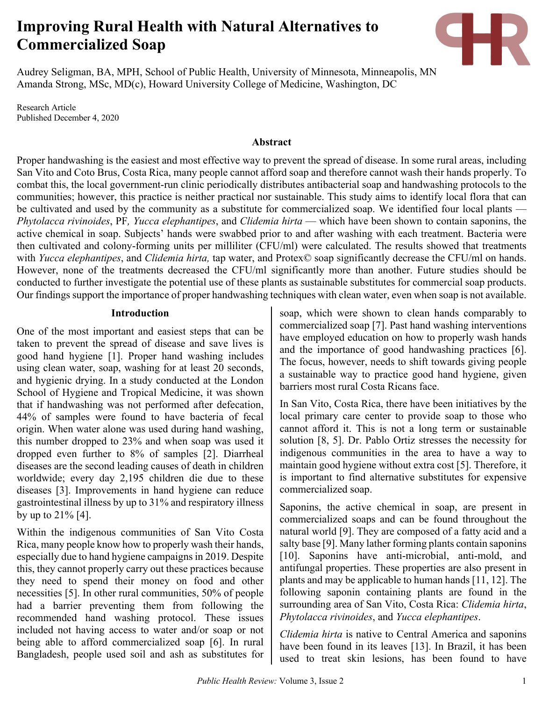# **Improving Rural Health with Natural Alternatives to Commercialized Soap**



Audrey Seligman, BA, MPH, School of Public Health, University of Minnesota, Minneapolis, MN Amanda Strong, MSc, MD(c), Howard University College of Medicine, Washington, DC

Research Article Published December 4, 2020

### **Abstract**

Proper handwashing is the easiest and most effective way to prevent the spread of disease. In some rural areas, including San Vito and Coto Brus, Costa Rica, many people cannot afford soap and therefore cannot wash their hands properly. To combat this, the local government-run clinic periodically distributes antibacterial soap and handwashing protocols to the communities; however, this practice is neither practical nor sustainable. This study aims to identify local flora that can be cultivated and used by the community as a substitute for commercialized soap. We identified four local plants — *Phytolacca rivinoides*, PF*, Yucca elephantipes*, and *Clidemia hirta* — which have been shown to contain saponins, the active chemical in soap. Subjects' hands were swabbed prior to and after washing with each treatment. Bacteria were then cultivated and colony-forming units per milliliter (CFU/ml) were calculated. The results showed that treatments with *Yucca elephantipes*, and *Clidemia hirta,* tap water, and Protex© soap significantly decrease the CFU/ml on hands. However, none of the treatments decreased the CFU/ml significantly more than another. Future studies should be conducted to further investigate the potential use of these plants as sustainable substitutes for commercial soap products. Our findings support the importance of proper handwashing techniques with clean water, even when soap is not available.

#### **Introduction**

One of the most important and easiest steps that can be taken to prevent the spread of disease and save lives is good hand hygiene [1]. Proper hand washing includes using clean water, soap, washing for at least 20 seconds, and hygienic drying. In a study conducted at the London School of Hygiene and Tropical Medicine, it was shown that if handwashing was not performed after defecation, 44% of samples were found to have bacteria of fecal origin. When water alone was used during hand washing, this number dropped to 23% and when soap was used it dropped even further to 8% of samples [2]. Diarrheal diseases are the second leading causes of death in children worldwide; every day 2,195 children die due to these diseases [3]. Improvements in hand hygiene can reduce gastrointestinal illness by up to 31% and respiratory illness by up to  $21\%$  [4].

Within the indigenous communities of San Vito Costa Rica, many people know how to properly wash their hands, especially due to hand hygiene campaigns in 2019. Despite this, they cannot properly carry out these practices because they need to spend their money on food and other necessities [5]. In other rural communities, 50% of people had a barrier preventing them from following the recommended hand washing protocol. These issues included not having access to water and/or soap or not being able to afford commercialized soap [6]. In rural Bangladesh, people used soil and ash as substitutes for soap, which were shown to clean hands comparably to commercialized soap [7]. Past hand washing interventions have employed education on how to properly wash hands and the importance of good handwashing practices [6]. The focus, however, needs to shift towards giving people a sustainable way to practice good hand hygiene, given barriers most rural Costa Ricans face.

In San Vito, Costa Rica, there have been initiatives by the local primary care center to provide soap to those who cannot afford it. This is not a long term or sustainable solution [8, 5]. Dr. Pablo Ortiz stresses the necessity for indigenous communities in the area to have a way to maintain good hygiene without extra cost [5]. Therefore, it is important to find alternative substitutes for expensive commercialized soap.

Saponins, the active chemical in soap, are present in commercialized soaps and can be found throughout the natural world [9]. They are composed of a fatty acid and a salty base [9]. Many lather forming plants contain saponins [10]. Saponins have anti-microbial, anti-mold, and antifungal properties. These properties are also present in plants and may be applicable to human hands [11, 12]. The following saponin containing plants are found in the surrounding area of San Vito, Costa Rica: *Clidemia hirta*, *Phytolacca rivinoides*, and *Yucca elephantipes*.

*Clidemia hirta* is native to Central America and saponins have been found in its leaves [13]. In Brazil, it has been used to treat skin lesions, has been found to have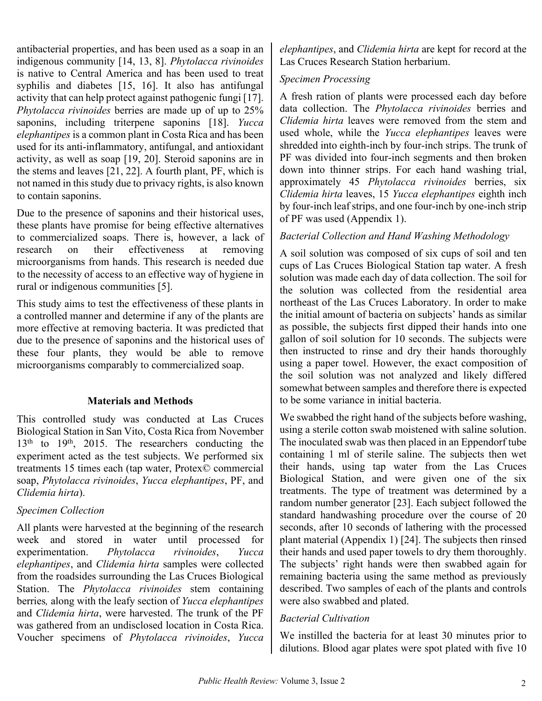antibacterial properties, and has been used as a soap in an indigenous community [14, 13, 8]. *Phytolacca rivinoides* is native to Central America and has been used to treat syphilis and diabetes [15, 16]. It also has antifungal activity that can help protect against pathogenic fungi [17]. *Phytolacca rivinoides* berries are made up of up to 25% saponins, including triterpene saponins [18]. *Yucca elephantipes* is a common plant in Costa Rica and has been used for its anti-inflammatory, antifungal, and antioxidant activity, as well as soap [19, 20]. Steroid saponins are in the stems and leaves [21, 22]. A fourth plant, PF, which is not named in this study due to privacy rights, is also known to contain saponins.

Due to the presence of saponins and their historical uses, these plants have promise for being effective alternatives to commercialized soaps. There is, however, a lack of research on their effectiveness at removing microorganisms from hands. This research is needed due to the necessity of access to an effective way of hygiene in rural or indigenous communities [5].

This study aims to test the effectiveness of these plants in a controlled manner and determine if any of the plants are more effective at removing bacteria. It was predicted that due to the presence of saponins and the historical uses of these four plants, they would be able to remove microorganisms comparably to commercialized soap.

# **Materials and Methods**

This controlled study was conducted at Las Cruces Biological Station in San Vito, Costa Rica from November 13<sup>th</sup> to 19<sup>th</sup>, 2015. The researchers conducting the experiment acted as the test subjects. We performed six treatments 15 times each (tap water, Protex© commercial soap, *Phytolacca rivinoides*, *Yucca elephantipes*, PF, and *Clidemia hirta*).

### *Specimen Collection*

All plants were harvested at the beginning of the research week and stored in water until processed for experimentation. *Phytolacca rivinoides*, *Yucca elephantipes*, and *Clidemia hirta* samples were collected from the roadsides surrounding the Las Cruces Biological Station. The *Phytolacca rivinoides* stem containing berries*,* along with the leafy section of *Yucca elephantipes*  and *Clidemia hirta*, were harvested. The trunk of the PF was gathered from an undisclosed location in Costa Rica. Voucher specimens of *Phytolacca rivinoides*, *Yucca* 

*elephantipes*, and *Clidemia hirta* are kept for record at the Las Cruces Research Station herbarium.

# *Specimen Processing*

A fresh ration of plants were processed each day before data collection. The *Phytolacca rivinoides* berries and *Clidemia hirta* leaves were removed from the stem and used whole, while the *Yucca elephantipes* leaves were shredded into eighth-inch by four-inch strips. The trunk of PF was divided into four-inch segments and then broken down into thinner strips. For each hand washing trial, approximately 45 *Phytolacca rivinoides* berries, six *Clidemia hirta* leaves, 15 *Yucca elephantipes* eighth inch by four-inch leaf strips, and one four-inch by one-inch strip of PF was used (Appendix 1).

# *Bacterial Collection and Hand Washing Methodology*

A soil solution was composed of six cups of soil and ten cups of Las Cruces Biological Station tap water. A fresh solution was made each day of data collection. The soil for the solution was collected from the residential area northeast of the Las Cruces Laboratory. In order to make the initial amount of bacteria on subjects' hands as similar as possible, the subjects first dipped their hands into one gallon of soil solution for 10 seconds. The subjects were then instructed to rinse and dry their hands thoroughly using a paper towel. However, the exact composition of the soil solution was not analyzed and likely differed somewhat between samples and therefore there is expected to be some variance in initial bacteria.

We swabbed the right hand of the subjects before washing, using a sterile cotton swab moistened with saline solution. The inoculated swab was then placed in an Eppendorf tube containing 1 ml of sterile saline. The subjects then wet their hands, using tap water from the Las Cruces Biological Station, and were given one of the six treatments. The type of treatment was determined by a random number generator [23]. Each subject followed the standard handwashing procedure over the course of 20 seconds, after 10 seconds of lathering with the processed plant material (Appendix 1) [24]. The subjects then rinsed their hands and used paper towels to dry them thoroughly. The subjects' right hands were then swabbed again for remaining bacteria using the same method as previously described. Two samples of each of the plants and controls were also swabbed and plated.

# *Bacterial Cultivation*

We instilled the bacteria for at least 30 minutes prior to dilutions. Blood agar plates were spot plated with five 10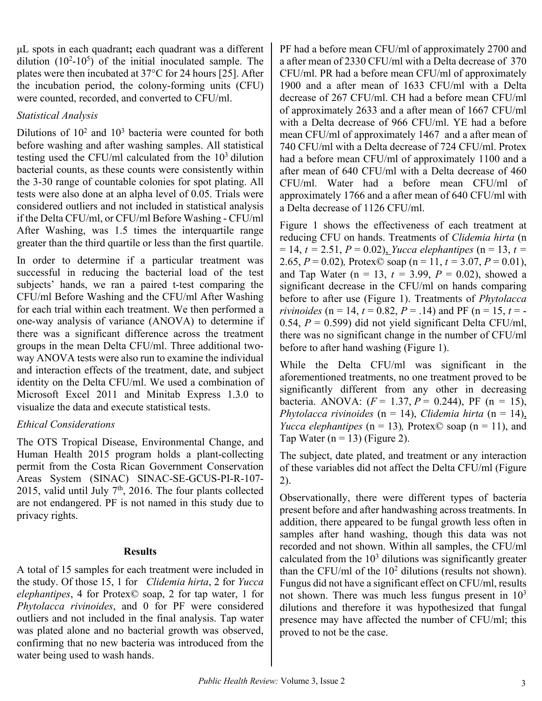μL spots in each quadrant**;** each quadrant was a different dilution  $(10^2-10^5)$  of the initial inoculated sample. The plates were then incubated at 37°C for 24 hours [25]. After the incubation period, the colony-forming units (CFU) were counted, recorded, and converted to CFU/ml.

## *Statistical Analysis*

Dilutions of  $10^2$  and  $10^3$  bacteria were counted for both before washing and after washing samples. All statistical testing used the CFU/ml calculated from the 103 dilution bacterial counts, as these counts were consistently within the 3-30 range of countable colonies for spot plating. All tests were also done at an alpha level of 0.05. Trials were considered outliers and not included in statistical analysis if the Delta CFU/ml, or CFU/ml Before Washing - CFU/ml After Washing, was 1.5 times the interquartile range greater than the third quartile or less than the first quartile.

In order to determine if a particular treatment was successful in reducing the bacterial load of the test subjects' hands, we ran a paired t-test comparing the CFU/ml Before Washing and the CFU/ml After Washing for each trial within each treatment. We then performed a one-way analysis of variance (ANOVA) to determine if there was a significant difference across the treatment groups in the mean Delta CFU/ml. Three additional twoway ANOVA tests were also run to examine the individual and interaction effects of the treatment, date, and subject identity on the Delta CFU/ml. We used a combination of Microsoft Excel 2011 and Minitab Express 1.3.0 to visualize the data and execute statistical tests.

# *Ethical Considerations*

The OTS Tropical Disease, Environmental Change, and Human Health 2015 program holds a plant-collecting permit from the Costa Rican Government Conservation Areas System (SINAC) SINAC-SE-GCUS-PI-R-107- 2015, valid until July 7<sup>th</sup>, 2016. The four plants collected are not endangered. PF is not named in this study due to privacy rights.

### **Results**

A total of 15 samples for each treatment were included in the study. Of those 15, 1 for *Clidemia hirta*, 2 for *Yucca elephantipes*, 4 for Protex© soap, 2 for tap water, 1 for *Phytolacca rivinoides*, and 0 for PF were considered outliers and not included in the final analysis. Tap water was plated alone and no bacterial growth was observed, confirming that no new bacteria was introduced from the water being used to wash hands.

PF had a before mean CFU/ml of approximately 2700 and a after mean of 2330 CFU/ml with a Delta decrease of 370 CFU/ml. PR had a before mean CFU/ml of approximately 1900 and a after mean of 1633 CFU/ml with a Delta decrease of 267 CFU/ml. CH had a before mean CFU/ml of approximately 2633 and a after mean of 1667 CFU/ml with a Delta decrease of 966 CFU/ml. YE had a before mean CFU/ml of approximately 1467 and a after mean of 740 CFU/ml with a Delta decrease of 724 CFU/ml. Protex had a before mean CFU/ml of approximately 1100 and a after mean of 640 CFU/ml with a Delta decrease of 460 CFU/ml. Water had a before mean CFU/ml of approximately 1766 and a after mean of 640 CFU/ml with a Delta decrease of 1126 CFU/ml.

Figure 1 shows the effectiveness of each treatment at reducing CFU on hands. Treatments of *Clidemia hirta* (n  $= 14$ ,  $t = 2.51$ ,  $P = 0.02$ ), *Yucca elephantipes* (n = 13, t = 2.65,  $P = 0.02$ ), Protex© soap (n = 11,  $t = 3.07$ ,  $P = 0.01$ ), and Tap Water ( $n = 13$ ,  $t = 3.99$ ,  $P = 0.02$ ), showed a significant decrease in the CFU/ml on hands comparing before to after use (Figure 1). Treatments of *Phytolacca rivinoides* (n = 14,  $t = 0.82$ ,  $P = .14$ ) and PF (n = 15,  $t = -$ 0.54,  $P = 0.599$ ) did not yield significant Delta CFU/ml, there was no significant change in the number of CFU/ml before to after hand washing (Figure 1).

While the Delta CFU/ml was significant in the aforementioned treatments, no one treatment proved to be significantly different from any other in decreasing bacteria. ANOVA: (*F* = 1.37, *P* = 0.244), PF (n = 15), *Phytolacca rivinoides* (n = 14), *Clidemia hirta* (n = 14), *Yucca elephantipes* ( $n = 13$ ), Protex© soap ( $n = 11$ ), and Tap Water ( $n = 13$ ) (Figure 2).

The subject, date plated, and treatment or any interaction of these variables did not affect the Delta CFU/ml (Figure 2).

Observationally, there were different types of bacteria present before and after handwashing across treatments. In addition, there appeared to be fungal growth less often in samples after hand washing, though this data was not recorded and not shown. Within all samples, the CFU/ml calculated from the  $10<sup>3</sup>$  dilutions was significantly greater than the CFU/ml of the  $10^2$  dilutions (results not shown). Fungus did not have a significant effect on CFU/ml, results not shown. There was much less fungus present in  $10<sup>3</sup>$ dilutions and therefore it was hypothesized that fungal presence may have affected the number of CFU/ml; this proved to not be the case.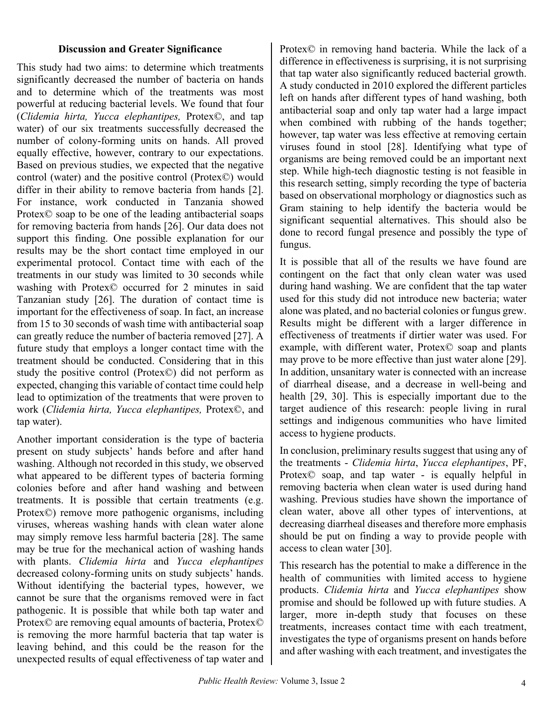### **Discussion and Greater Significance**

This study had two aims: to determine which treatments significantly decreased the number of bacteria on hands and to determine which of the treatments was most powerful at reducing bacterial levels. We found that four (*Clidemia hirta, Yucca elephantipes,* Protex©, and tap water) of our six treatments successfully decreased the number of colony-forming units on hands. All proved equally effective, however, contrary to our expectations. Based on previous studies, we expected that the negative control (water) and the positive control (Protex©) would differ in their ability to remove bacteria from hands [2]. For instance, work conducted in Tanzania showed Protex© soap to be one of the leading antibacterial soaps for removing bacteria from hands [26]. Our data does not support this finding. One possible explanation for our results may be the short contact time employed in our experimental protocol. Contact time with each of the treatments in our study was limited to 30 seconds while washing with Protex© occurred for 2 minutes in said Tanzanian study [26]. The duration of contact time is important for the effectiveness of soap. In fact, an increase from 15 to 30 seconds of wash time with antibacterial soap can greatly reduce the number of bacteria removed [27]. A future study that employs a longer contact time with the treatment should be conducted. Considering that in this study the positive control (Protex©) did not perform as expected, changing this variable of contact time could help lead to optimization of the treatments that were proven to work (*Clidemia hirta, Yucca elephantipes,* Protex©, and tap water).

Another important consideration is the type of bacteria present on study subjects' hands before and after hand washing. Although not recorded in this study, we observed what appeared to be different types of bacteria forming colonies before and after hand washing and between treatments. It is possible that certain treatments (e.g. Protex©) remove more pathogenic organisms, including viruses, whereas washing hands with clean water alone may simply remove less harmful bacteria [28]. The same may be true for the mechanical action of washing hands with plants. *Clidemia hirta* and *Yucca elephantipes* decreased colony-forming units on study subjects' hands. Without identifying the bacterial types, however, we cannot be sure that the organisms removed were in fact pathogenic. It is possible that while both tap water and Protex© are removing equal amounts of bacteria, Protex© is removing the more harmful bacteria that tap water is leaving behind, and this could be the reason for the unexpected results of equal effectiveness of tap water and Protex© in removing hand bacteria. While the lack of a difference in effectiveness is surprising, it is not surprising that tap water also significantly reduced bacterial growth. A study conducted in 2010 explored the different particles left on hands after different types of hand washing, both antibacterial soap and only tap water had a large impact when combined with rubbing of the hands together; however, tap water was less effective at removing certain viruses found in stool [28]. Identifying what type of organisms are being removed could be an important next step. While high-tech diagnostic testing is not feasible in this research setting, simply recording the type of bacteria based on observational morphology or diagnostics such as Gram staining to help identify the bacteria would be significant sequential alternatives. This should also be done to record fungal presence and possibly the type of fungus.

It is possible that all of the results we have found are contingent on the fact that only clean water was used during hand washing. We are confident that the tap water used for this study did not introduce new bacteria; water alone was plated, and no bacterial colonies or fungus grew. Results might be different with a larger difference in effectiveness of treatments if dirtier water was used. For example, with different water, Protex© soap and plants may prove to be more effective than just water alone [29]. In addition, unsanitary water is connected with an increase of diarrheal disease, and a decrease in well-being and health [29, 30]. This is especially important due to the target audience of this research: people living in rural settings and indigenous communities who have limited access to hygiene products.

In conclusion, preliminary results suggest that using any of the treatments - *Clidemia hirta*, *Yucca elephantipes*, PF, Protex© soap, and tap water - is equally helpful in removing bacteria when clean water is used during hand washing. Previous studies have shown the importance of clean water, above all other types of interventions, at decreasing diarrheal diseases and therefore more emphasis should be put on finding a way to provide people with access to clean water [30].

This research has the potential to make a difference in the health of communities with limited access to hygiene products. *Clidemia hirta* and *Yucca elephantipes* show promise and should be followed up with future studies. A larger, more in-depth study that focuses on these treatments, increases contact time with each treatment, investigates the type of organisms present on hands before and after washing with each treatment, and investigates the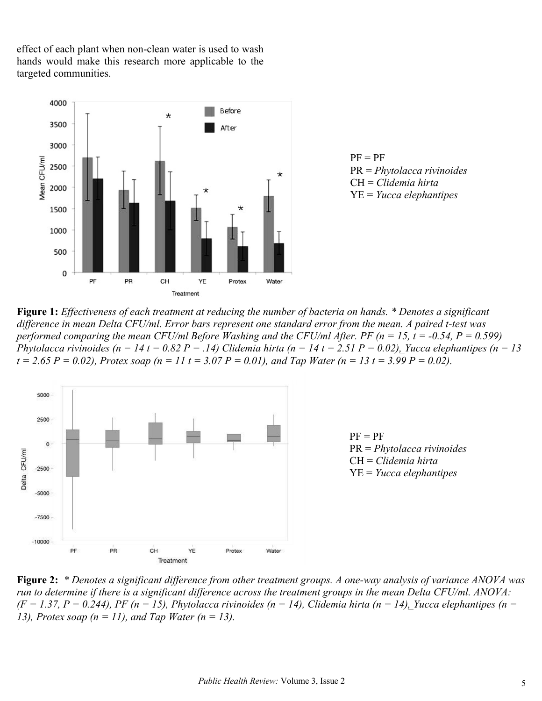effect of each plant when non-clean water is used to wash hands would make this research more applicable to the targeted communities.



 $PF = PF$ PR = *Phytolacca rivinoides* CH = *Clidemia hirta* YE = *Yucca elephantipes*

**Figure 1:** *Effectiveness of each treatment at reducing the number of bacteria on hands. \* Denotes a significant difference in mean Delta CFU/ml. Error bars represent one standard error from the mean. A paired t-test was performed comparing the mean CFU/ml Before Washing and the CFU/ml After. PF (n = 15, t = -0.54, P = 0.599) Phytolacca rivinoides*  $(n = 14 t = 0.82 P = .14)$  Clidemia hirta  $(n = 14 t = 2.51 P = 0.02)$ , Yucca elephantipes  $(n = 13$  $t = 2.65 P = 0.02$ , Protex soap (n = 11 t = 3.07 P = 0.01), and Tap Water (n = 13 t = 3.99 P = 0.02).



 $PF = PF$ PR = *Phytolacca rivinoides* CH = *Clidemia hirta* YE = *Yucca elephantipes*

**Figure 2:** *\* Denotes a significant difference from other treatment groups. A one-way analysis of variance ANOVA was run to determine if there is a significant difference across the treatment groups in the mean Delta CFU/ml. ANOVA:*   $(F = 1.37, P = 0.244)$ , *PF* ( $n = 15$ ), *Phytolacca rivinoides* ( $n = 14$ ), *Clidemia hirta* ( $n = 14$ ), *Yucca elephantipes* ( $n = 14$ ) *13), Protex soap (n = 11), and Tap Water (n = 13).*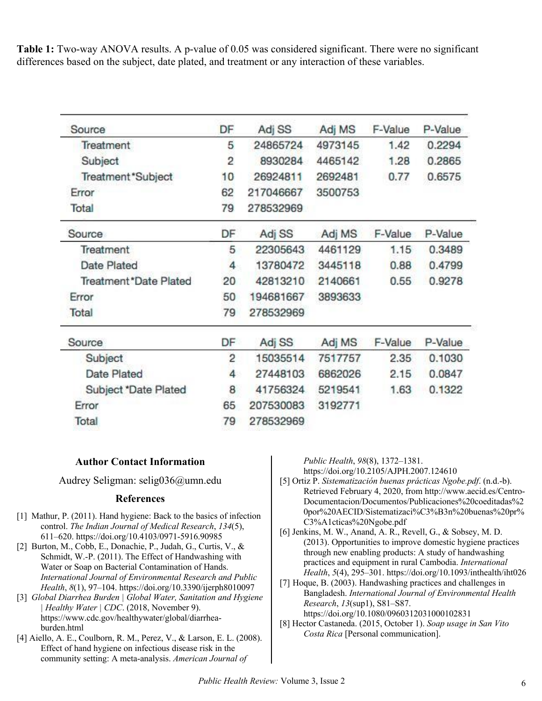**Table 1:** Two-way ANOVA results. A p-value of 0.05 was considered significant. There were no significant differences based on the subject, date plated, and treatment or any interaction of these variables.

| Source                 | DF             | Adj SS    | Adj MS  | F-Value | P-Value |
|------------------------|----------------|-----------|---------|---------|---------|
| Treatment              | 5              | 24865724  | 4973145 | 1.42    | 0.2294  |
| Subject                | 2              | 8930284   | 4465142 | 1.28    | 0.2865  |
| Treatment*Subject      | 10             | 26924811  | 2692481 | 0.77    | 0.6575  |
| Error                  | 62             | 217046667 | 3500753 |         |         |
| Total                  | 79             | 278532969 |         |         |         |
| Source                 | DF             | Adj SS    | Adj MS  | F-Value | P-Value |
| <b>Treatment</b>       | 5              | 22305643  | 4461129 | 1.15    | 0.3489  |
| <b>Date Plated</b>     | 4              | 13780472  | 3445118 | 0.88    | 0.4799  |
| Treatment *Date Plated | 20             | 42813210  | 2140661 | 0.55    | 0.9278  |
| Error                  | 50             | 194681667 | 3893633 |         |         |
| Total                  | 79             | 278532969 |         |         |         |
| Source                 | DF             | Adj SS    | Adj MS  | F-Value | P-Value |
| Subject                | $\overline{2}$ | 15035514  | 7517757 | 2.35    | 0.1030  |
| <b>Date Plated</b>     | 4              | 27448103  | 6862026 | 2.15    | 0.0847  |
| Subject *Date Plated   | 8              | 41756324  | 5219541 | 1.63    | 0.1322  |
| Error                  | 65             | 207530083 | 3192771 |         |         |
| Total                  | 79             | 278532969 |         |         |         |

### **Author Contact Information**

Audrey Seligman: selig036@umn.edu

#### **References**

- [1] Mathur, P. (2011). Hand hygiene: Back to the basics of infection control. *The Indian Journal of Medical Research*, *134*(5), 611–620. https://doi.org/10.4103/0971-5916.90985
- [2] Burton, M., Cobb, E., Donachie, P., Judah, G., Curtis, V., & Schmidt, W.-P. (2011). The Effect of Handwashing with Water or Soap on Bacterial Contamination of Hands. *International Journal of Environmental Research and Public Health*, *8*(1), 97–104. https://doi.org/10.3390/ijerph8010097
- [3] *Global Diarrhea Burden | Global Water, Sanitation and Hygiene Healthy Water | CDC.* (2018, November 9). https://www.cdc.gov/healthywater/global/diarrheaburden.html
- [4] Aiello, A. E., Coulborn, R. M., Perez, V., & Larson, E. L. (2008). Effect of hand hygiene on infectious disease risk in the community setting: A meta-analysis. *American Journal of*

*Public Health*, *98*(8), 1372–1381.

https://doi.org/10.2105/AJPH.2007.124610

- [5] Ortiz P. *Sistematización buenas prácticas Ngobe.pdf*. (n.d.-b). Retrieved February 4, 2020, from http://www.aecid.es/Centro-Documentacion/Documentos/Publicaciones%20coeditadas%2 0por%20AECID/Sistematizaci%C3%B3n%20buenas%20pr% C3%A1cticas%20Ngobe.pdf
- [6] Jenkins, M. W., Anand, A. R., Revell, G., & Sobsey, M. D. (2013). Opportunities to improve domestic hygiene practices through new enabling products: A study of handwashing practices and equipment in rural Cambodia. *International Health*, *5*(4), 295–301. https://doi.org/10.1093/inthealth/iht026
- [7] Hoque, B. (2003). Handwashing practices and challenges in Bangladesh. *International Journal of Environmental Health Research*, *13*(sup1), S81–S87. https://doi.org/10.1080/0960312031000102831
- [8] Hector Castaneda. (2015, October 1). *Soap usage in San Vito Costa Rica* [Personal communication].